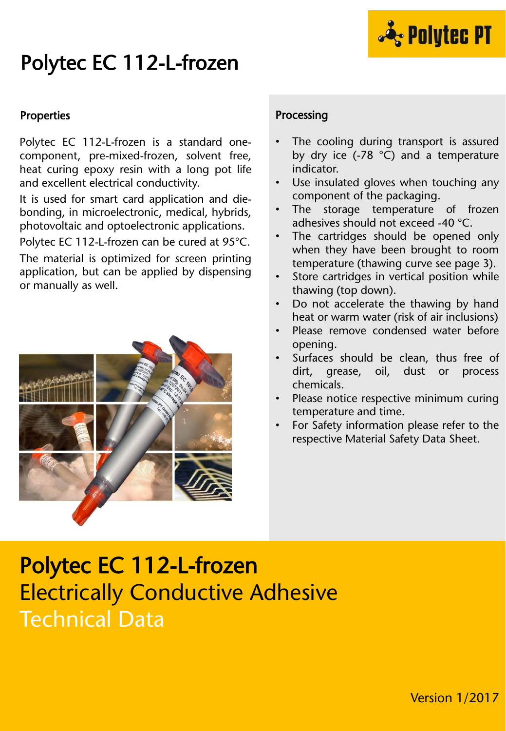

# Polytec EC 112-L-frozen

#### **Properties**

Polytec EC 112-L-frozen is a standard onecomponent, pre-mixed-frozen, solvent free, heat curing epoxy resin with a long pot life and excellent electrical conductivity.

It is used for smart card application and diebonding, in microelectronic, medical, hybrids, photovoltaic and optoelectronic applications.

Polytec EC 112-L-frozen can be cured at 95°C.

The material is optimized for screen printing application, but can be applied by dispensing or manually as well.



#### Processing

- The cooling during transport is assured by dry ice (-78 °C) and a temperature indicator.
- Use insulated gloves when touching any component of the packaging.
- The storage temperature of frozen adhesives should not exceed -40 °C.
- The cartridges should be opened only when they have been brought to room temperature (thawing curve see page 3).
- Store cartridges in vertical position while thawing (top down).
- Do not accelerate the thawing by hand heat or warm water (risk of air inclusions)
- Please remove condensed water before opening.
- Surfaces should be clean, thus free of dirt, grease, oil, dust or process chemicals.
- Please notice respective minimum curing temperature and time.
- For Safety information please refer to the respective Material Safety Data Sheet.

## Polytec EC 112-L-frozen Electrically Conductive Adhesive Technical Data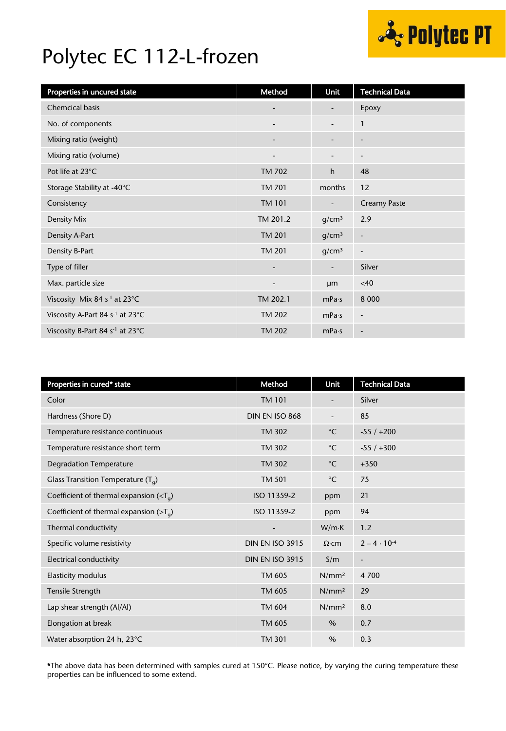

# Polytec EC 112-L-frozen

| Properties in uncured state                            | Method                       | Unit                         | <b>Technical Data</b>        |
|--------------------------------------------------------|------------------------------|------------------------------|------------------------------|
| <b>Chemcical basis</b>                                 | $\overline{\phantom{a}}$     | $\qquad \qquad \blacksquare$ | Epoxy                        |
| No. of components                                      | $\overline{\phantom{a}}$     | $\overline{\phantom{a}}$     | $\mathbf{1}$                 |
| Mixing ratio (weight)                                  | $\qquad \qquad \blacksquare$ | $\overline{\phantom{a}}$     | $\overline{\phantom{a}}$     |
| Mixing ratio (volume)                                  | $\overline{\phantom{a}}$     |                              | $\overline{\phantom{a}}$     |
| Pot life at 23°C                                       | <b>TM 702</b>                | h                            | 48                           |
| Storage Stability at -40°C                             | <b>TM 701</b>                | months                       | 12                           |
| Consistency                                            | <b>TM 101</b>                |                              | <b>Creamy Paste</b>          |
| Density Mix                                            | TM 201.2                     | g/cm <sup>3</sup>            | 2.9                          |
| Density A-Part                                         | <b>TM 201</b>                | g/cm <sup>3</sup>            | $\qquad \qquad \blacksquare$ |
| Density B-Part                                         | <b>TM 201</b>                | g/cm <sup>3</sup>            | $\overline{\phantom{a}}$     |
| Type of filler                                         | $\overline{\phantom{a}}$     | $\overline{\phantom{a}}$     | Silver                       |
| Max. particle size                                     | $\overline{\phantom{a}}$     | <b>um</b>                    | <40                          |
| Viscosity Mix 84 s <sup>-1</sup> at 23°C               | TM 202.1                     | mPa·s                        | 8 0 0 0                      |
| Viscosity A-Part 84 s <sup>-1</sup> at 23°C            | <b>TM 202</b>                | mPa·s                        | $\overline{\phantom{a}}$     |
| Viscosity B-Part 84 s <sup>-1</sup> at 23 $^{\circ}$ C | <b>TM 202</b>                | mPa·s                        | $\overline{\phantom{a}}$     |

| Properties in cured* state                               | Method                   | Unit              | <b>Technical Data</b>    |
|----------------------------------------------------------|--------------------------|-------------------|--------------------------|
| Color                                                    | <b>TM 101</b>            |                   | Silver                   |
| Hardness (Shore D)                                       | DIN EN ISO 868           |                   | 85                       |
| Temperature resistance continuous                        | <b>TM 302</b>            | $^{\circ}$ C      | $-55/+200$               |
| Temperature resistance short term                        | <b>TM 302</b>            | $^{\circ}$ C      | $-55/+300$               |
| <b>Degradation Temperature</b>                           | <b>TM 302</b>            | $^{\circ}$ C      | $+350$                   |
| Glass Transition Temperature $(T_q)$                     | <b>TM 501</b>            | $^{\circ}$ C      | 75                       |
| Coefficient of thermal expansion ( $\langle T_a \rangle$ | ISO 11359-2              | ppm               | 21                       |
| Coefficient of thermal expansion ( $>Ta$ )               | ISO 11359-2              | ppm               | 94                       |
| Thermal conductivity                                     | $\overline{\phantom{a}}$ | W/mK              | 1.2                      |
| Specific volume resistivity                              | <b>DIN EN ISO 3915</b>   | $\Omega$ ·cm      | $2 - 4 \cdot 10^{-4}$    |
| Electrical conductivity                                  | <b>DIN EN ISO 3915</b>   | S/m               | $\overline{\phantom{m}}$ |
| Elasticity modulus                                       | TM 605                   | N/mm <sup>2</sup> | 4 700                    |
| Tensile Strength                                         | TM 605                   | N/mm <sup>2</sup> | 29                       |
| Lap shear strength (Al/Al)                               | <b>TM 604</b>            | N/mm <sup>2</sup> | 8.0                      |
| Elongation at break                                      | TM 605                   | $\%$              | 0.7                      |
| Water absorption 24 h, 23°C                              | <b>TM 301</b>            | $\%$              | 0.3                      |

\*The above data has been determined with samples cured at 150°C. Please notice, by varying the curing temperature these properties can be influenced to some extend.